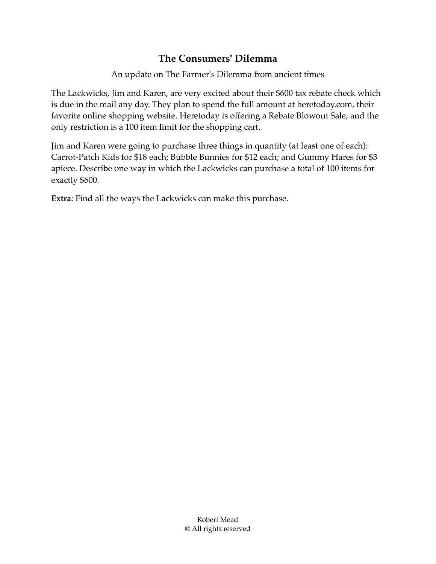## **The Consumers' Dilemma**

An update on The Farmer's Dilemma from ancient times

The Lackwicks, Jim and Karen, are very excited about their \$600 tax rebate check which is due in the mail any day. They plan to spend the full amount at heretoday.com, their favorite online shopping website. Heretoday is offering a Rebate Blowout Sale, and the only restriction is a 100 item limit for the shopping cart.

Jim and Karen were going to purchase three things in quantity (at least one of each): Carrot-Patch Kids for \$18 each; Bubble Bunnies for \$12 each; and Gummy Hares for \$3 apiece. Describe one way in which the Lackwicks can purchase a total of 100 items for exactly \$600.

**Extra**: Find all the ways the Lackwicks can make this purchase.